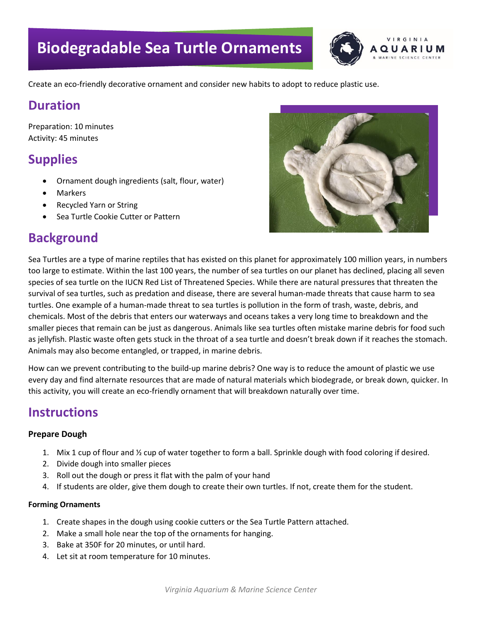

Create an eco-friendly decorative ornament and consider new habits to adopt to reduce plastic use.

## **Duration**

Preparation: 10 minutes Activity: 45 minutes

# **Supplies**

- Ornament dough ingredients (salt, flour, water)
- **Markers**
- Recycled Yarn or String
- Sea Turtle Cookie Cutter or Pattern

# **Background**



Sea Turtles are a type of marine reptiles that has existed on this planet for approximately 100 million years, in numbers too large to estimate. Within the last 100 years, the number of sea turtles on our planet has declined, placing all seven species of sea turtle on the IUCN Red List of Threatened Species. While there are natural pressures that threaten the survival of sea turtles, such as predation and disease, there are several human-made threats that cause harm to sea turtles. One example of a human-made threat to sea turtles is pollution in the form of trash, waste, debris, and chemicals. Most of the debris that enters our waterways and oceans takes a very long time to breakdown and the smaller pieces that remain can be just as dangerous. Animals like sea turtles often mistake marine debris for food such as jellyfish. Plastic waste often gets stuck in the throat of a sea turtle and doesn't break down if it reaches the stomach. Animals may also become entangled, or trapped, in marine debris.

How can we prevent contributing to the build-up marine debris? One way is to reduce the amount of plastic we use every day and find alternate resources that are made of natural materials which biodegrade, or break down, quicker. In this activity, you will create an eco-friendly ornament that will breakdown naturally over time.

# **Instructions**

#### **Prepare Dough**

- 1. Mix 1 cup of flour and ½ cup of water together to form a ball. Sprinkle dough with food coloring if desired.
- 2. Divide dough into smaller pieces
- 3. Roll out the dough or press it flat with the palm of your hand
- 4. If students are older, give them dough to create their own turtles. If not, create them for the student.

#### **Forming Ornaments**

- 1. Create shapes in the dough using cookie cutters or the Sea Turtle Pattern attached.
- 2. Make a small hole near the top of the ornaments for hanging.
- 3. Bake at 350F for 20 minutes, or until hard.
- 4. Let sit at room temperature for 10 minutes.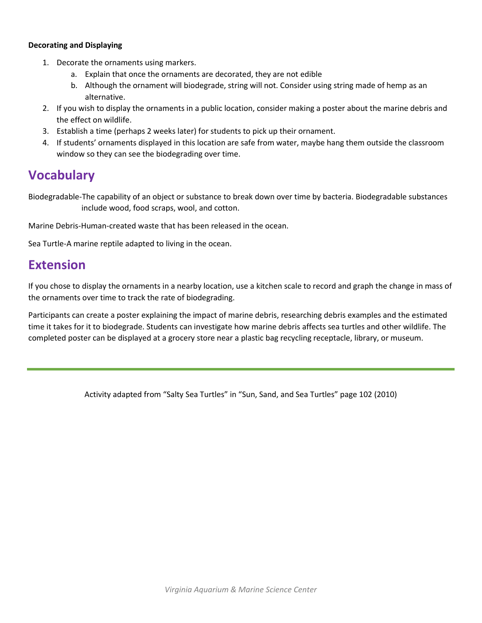#### **Decorating and Displaying**

- 1. Decorate the ornaments using markers.
	- a. Explain that once the ornaments are decorated, they are not edible
	- b. Although the ornament will biodegrade, string will not. Consider using string made of hemp as an alternative.
- 2. If you wish to display the ornaments in a public location, consider making a poster about the marine debris and the effect on wildlife.
- 3. Establish a time (perhaps 2 weeks later) for students to pick up their ornament.
- 4. If students' ornaments displayed in this location are safe from water, maybe hang them outside the classroom window so they can see the biodegrading over time.

## **Vocabulary**

Biodegradable-The capability of an object or substance to break down over time by bacteria. Biodegradable substances include wood, food scraps, wool, and cotton.

Marine Debris-Human-created waste that has been released in the ocean.

Sea Turtle-A marine reptile adapted to living in the ocean.

### **Extension**

If you chose to display the ornaments in a nearby location, use a kitchen scale to record and graph the change in mass of the ornaments over time to track the rate of biodegrading.

Participants can create a poster explaining the impact of marine debris, researching debris examples and the estimated time it takes for it to biodegrade. Students can investigate how marine debris affects sea turtles and other wildlife. The completed poster can be displayed at a grocery store near a plastic bag recycling receptacle, library, or museum.

Activity adapted from "Salty Sea Turtles" in "Sun, Sand, and Sea Turtles" page 102 (2010)